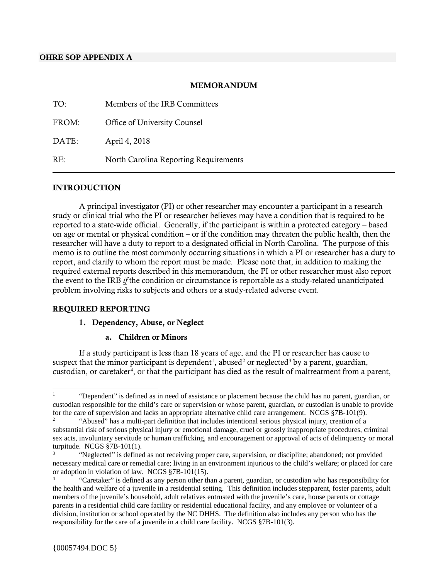### **OHRE SOP APPENDIX A**

### MEMORANDUM

| TO:   | Members of the IRB Committees         |
|-------|---------------------------------------|
| FROM: | Office of University Counsel          |
| DATE: | April 4, 2018                         |
| RE:   | North Carolina Reporting Requirements |

### **INTRODUCTION**

A principal investigator (PI) or other researcher may encounter a participant in a research study or clinical trial who the PI or researcher believes may have a condition that is required to be reported to a state-wide official. Generally, if the participant is within a protected category – based on age or mental or physical condition – or if the condition may threaten the public health, then the researcher will have a duty to report to a designated official in North Carolina. The purpose of this memo is to outline the most commonly occurring situations in which a PI or researcher has a duty to report, and clarify to whom the report must be made. Please note that, in addition to making the required external reports described in this memorandum, the PI or other researcher must also report the event to the IRB *if* the condition or circumstance is reportable as a study-related unanticipated problem involving risks to subjects and others or a study-related adverse event.

#### REQUIRED REPORTING

#### 1. Dependency, Abuse, or Neglect

### a. Children or Minors

If a study participant is less than 18 years of age, and the PI or researcher has cause to suspect that the minor participant is dependent<sup>[1](#page-0-0)</sup>, abused<sup>[2](#page-0-1)</sup> or neglected<sup>[3](#page-0-2)</sup> by a parent, guardian, custodian, or caretaker<sup>[4](#page-0-3)</sup>, or that the participant has died as the result of maltreatment from a parent,

<span id="page-0-0"></span> <sup>1</sup> "Dependent" is defined as in need of assistance or placement because the child has no parent, guardian, or custodian responsible for the child's care or supervision or whose parent, guardian, or custodian is unable to provide for the care of supervision and lacks an appropriate alternative child care arrangement. NCGS §7B-101(9).

<span id="page-0-1"></span><sup>2</sup> "Abused" has a multi-part definition that includes intentional serious physical injury, creation of a substantial risk of serious physical injury or emotional damage, cruel or grossly inappropriate procedures, criminal sex acts, involuntary servitude or human trafficking, and encouragement or approval of acts of delinquency or moral turpitude. NCGS §7B-101(1).

<span id="page-0-2"></span><sup>&</sup>quot;Neglected" is defined as not receiving proper care, supervision, or discipline; abandoned; not provided necessary medical care or remedial care; living in an environment injurious to the child's welfare; or placed for care or adoption in violation of law. NCGS §7B-101(15).

<span id="page-0-3"></span><sup>4</sup> "Caretaker" is defined as any person other than a parent, guardian, or custodian who has responsibility for the health and welfare of a juvenile in a residential setting. This definition includes stepparent, foster parents, adult members of the juvenile's household, adult relatives entrusted with the juvenile's care, house parents or cottage parents in a residential child care facility or residential educational facility, and any employee or volunteer of a division, institution or school operated by the NC DHHS. The definition also includes any person who has the responsibility for the care of a juvenile in a child care facility. NCGS §7B-101(3).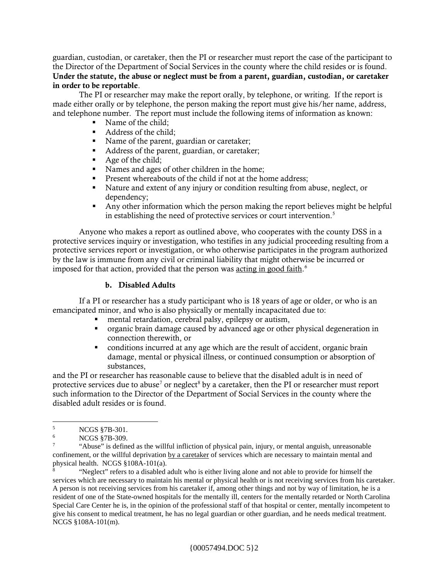guardian, custodian, or caretaker, then the PI or researcher must report the case of the participant to the Director of the Department of Social Services in the county where the child resides or is found. Under the statute, the abuse or neglect must be from a parent, guardian, custodian, or caretaker in order to be reportable.

The PI or researcher may make the report orally, by telephone, or writing. If the report is made either orally or by telephone, the person making the report must give his/her name, address, and telephone number. The report must include the following items of information as known:

- Name of the child;
- Address of the child;
- Name of the parent, guardian or caretaker;<br>• Address of the parent, guardian, or caretake
- Address of the parent, guardian, or caretaker;
- Age of the child;
- Names and ages of other children in the home;
- **Present whereabouts of the child if not at the home address;**
- Nature and extent of any injury or condition resulting from abuse, neglect, or dependency;
- Any other information which the person making the report believes might be helpful in establishing the need of protective services or court intervention.<sup>[5](#page-1-0)</sup>

Anyone who makes a report as outlined above, who cooperates with the county DSS in a protective services inquiry or investigation, who testifies in any judicial proceeding resulting from a protective services report or investigation, or who otherwise participates in the program authorized by the law is immune from any civil or criminal liability that might otherwise be incurred or imposed for that action, provided that the person was acting in good faith.<sup>[6](#page-1-1)</sup>

### b. Disabled Adults

If a PI or researcher has a study participant who is 18 years of age or older, or who is an emancipated minor, and who is also physically or mentally incapacitated due to:

- mental retardation, cerebral palsy, epilepsy or autism,
- organic brain damage caused by advanced age or other physical degeneration in connection therewith, or
- conditions incurred at any age which are the result of accident, organic brain damage, mental or physical illness, or continued consumption or absorption of substances,

and the PI or researcher has reasonable cause to believe that the disabled adult is in need of protective services due to abuse<sup>[7](#page-1-2)</sup> or neglect<sup>[8](#page-1-3)</sup> by a caretaker, then the PI or researcher must report such information to the Director of the Department of Social Services in the county where the disabled adult resides or is found.

<span id="page-1-1"></span><span id="page-1-0"></span> $^{5}$  NCGS §7B-301.

NCGS §7B-309.

<span id="page-1-2"></span><sup>7</sup> "Abuse" is defined as the willful infliction of physical pain, injury, or mental anguish, unreasonable confinement, or the willful deprivation by a caretaker of services which are necessary to maintain mental and physical health. NCGS §108A-101(a).

<span id="page-1-3"></span><sup>8</sup> "Neglect" refers to a disabled adult who is either living alone and not able to provide for himself the services which are necessary to maintain his mental or physical health or is not receiving services from his caretaker. A person is not receiving services from his caretaker if, among other things and not by way of limitation, he is a resident of one of the State-owned hospitals for the mentally ill, centers for the mentally retarded or North Carolina Special Care Center he is, in the opinion of the professional staff of that hospital or center, mentally incompetent to give his consent to medical treatment, he has no legal guardian or other guardian, and he needs medical treatment. NCGS §108A-101(m).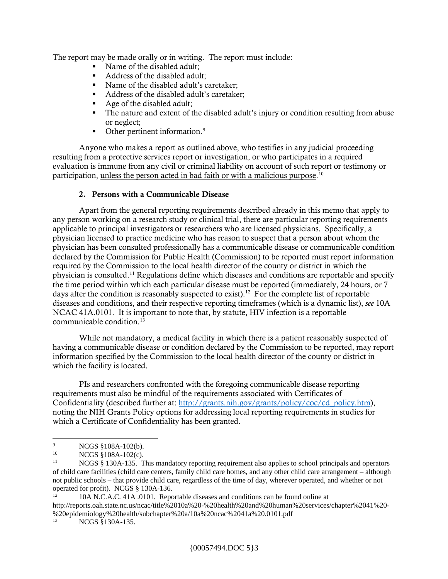The report may be made orally or in writing. The report must include:

- Name of the disabled adult:
- Address of the disabled adult:
- Name of the disabled adult's caretaker;
- Address of the disabled adult's caretaker;
- Age of the disabled adult;
- The nature and extent of the disabled adult's injury or condition resulting from abuse or neglect;
- $\blacksquare$  Other pertinent information.<sup>9</sup>

Anyone who makes a report as outlined above, who testifies in any judicial proceeding resulting from a protective services report or investigation, or who participates in a required evaluation is immune from any civil or criminal liability on account of such report or testimony or participation, <u>unless the person acted in bad faith or with a malicious purpose</u>.<sup>[10](#page-2-1)</sup>

## 2. Persons with a Communicable Disease

Apart from the general reporting requirements described already in this memo that apply to any person working on a research study or clinical trial, there are particular reporting requirements applicable to principal investigators or researchers who are licensed physicians. Specifically, a physician licensed to practice medicine who has reason to suspect that a person about whom the physician has been consulted professionally has a communicable disease or communicable condition declared by the Commission for Public Health (Commission) to be reported must report information required by the Commission to the local health director of the county or district in which the physician is consulted.[11](#page-2-2) Regulations define which diseases and conditions are reportable and specify the time period within which each particular disease must be reported (immediately, 24 hours, or 7 days after the condition is reasonably suspected to exist).<sup>[12](#page-2-3)</sup> For the complete list of reportable diseases and conditions, and their respective reporting timeframes (which is a dynamic list), *see* 10A NCAC 41A.0101. It is important to note that, by statute, HIV infection is a reportable communicable condition. $13$ 

While not mandatory, a medical facility in which there is a patient reasonably suspected of having a communicable disease or condition declared by the Commission to be reported, may report information specified by the Commission to the local health director of the county or district in which the facility is located.

PIs and researchers confronted with the foregoing communicable disease reporting requirements must also be mindful of the requirements associated with Certificates of Confidentiality (described further at: [http://grants.nih.gov/grants/policy/coc/cd\\_policy.htm\)](http://grants.nih.gov/grants/policy/coc/cd_policy.htm), noting the NIH Grants Policy options for addressing local reporting requirements in studies for which a Certificate of Confidentiality has been granted.

<span id="page-2-3"></span>http://reports.oah.state.nc.us/ncac/title%2010a%20-%20health%20and%20human%20services/chapter%2041%20- %20epidemiology%20health/subchapter%20a/10a%20ncac%2041a%20.0101.pdf<br><sup>13</sup>NCGS 8120A 125

<span id="page-2-0"></span> $^{9}$  NCGS §108A-102(b).

<span id="page-2-1"></span><sup>&</sup>lt;sup>10</sup> NCGS §108A-102(c).<br><sup>11</sup> NCGS <sup>8</sup> 130A 135 T

<span id="page-2-2"></span>NCGS § 130A-135. This mandatory reporting requirement also applies to school principals and operators of child care facilities (child care centers, family child care homes, and any other child care arrangement – although not public schools – that provide child care, regardless of the time of day, wherever operated, and whether or not operated for profit). NCGS  $\S$  130A-136.<br><sup>12</sup> 10A N.C.A.C. 41A .0101. Reportable diseases and conditions can be found online at

<span id="page-2-4"></span>NCGS §130A-135.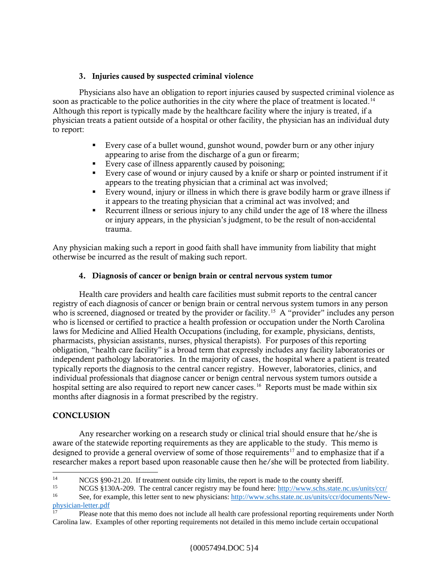# 3. Injuries caused by suspected criminal violence

Physicians also have an obligation to report injuries caused by suspected criminal violence as soon as practicable to the police authorities in the city where the place of treatment is located.<sup>14</sup> Although this report is typically made by the healthcare facility where the injury is treated, if a physician treats a patient outside of a hospital or other facility, the physician has an individual duty to report:

- Every case of a bullet wound, gunshot wound, powder burn or any other injury appearing to arise from the discharge of a gun or firearm;
- Every case of illness apparently caused by poisoning;
- Every case of wound or injury caused by a knife or sharp or pointed instrument if it appears to the treating physician that a criminal act was involved;
- Every wound, injury or illness in which there is grave bodily harm or grave illness if it appears to the treating physician that a criminal act was involved; and
- Recurrent illness or serious injury to any child under the age of 18 where the illness or injury appears, in the physician's judgment, to be the result of non-accidental trauma.

Any physician making such a report in good faith shall have immunity from liability that might otherwise be incurred as the result of making such report.

# 4. Diagnosis of cancer or benign brain or central nervous system tumor

Health care providers and health care facilities must submit reports to the central cancer registry of each diagnosis of cancer or benign brain or central nervous system tumors in any person who is screened, diagnosed or treated by the provider or facility.<sup>15</sup> A "provider" includes any person who is licensed or certified to practice a health profession or occupation under the North Carolina laws for Medicine and Allied Health Occupations (including, for example, physicians, dentists, pharmacists, physician assistants, nurses, physical therapists). For purposes of this reporting obligation, "health care facility" is a broad term that expressly includes any facility laboratories or independent pathology laboratories. In the majority of cases, the hospital where a patient is treated typically reports the diagnosis to the central cancer registry. However, laboratories, clinics, and individual professionals that diagnose cancer or benign central nervous system tumors outside a hospital setting are also required to report new cancer cases.<sup>[16](#page-3-2)</sup> Reports must be made within six months after diagnosis in a format prescribed by the registry.

## **CONCLUSION**

Any researcher working on a research study or clinical trial should ensure that he/she is aware of the statewide reporting requirements as they are applicable to the study. This memo is designed to provide a general overview of some of those requirements<sup>[17](#page-3-3)</sup> and to emphasize that if a researcher makes a report based upon reasonable cause then he/she will be protected from liability.

<span id="page-3-0"></span>NCGS §90-21.20. If treatment outside city limits, the report is made to the county sheriff.<br>
<sup>15</sup> NCGS §130A-209. The central cancer registry may be found here: <u><http://www.schs.state.nc.us/units/ccr/></u><br>
<sup>16</sup> See for exampl

<span id="page-3-2"></span><span id="page-3-1"></span><sup>16</sup> See, for example, this letter sent to new physicians: [http://www.schs.state.nc.us/units/ccr/documents/New](http://www.schs.state.nc.us/units/ccr/documents/New-physician-letter.pdf)[physician-letter.pdf](http://www.schs.state.nc.us/units/ccr/documents/New-physician-letter.pdf)

<span id="page-3-3"></span><sup>17</sup> Please note that this memo does not include all health care professional reporting requirements under North Carolina law. Examples of other reporting requirements not detailed in this memo include certain occupational